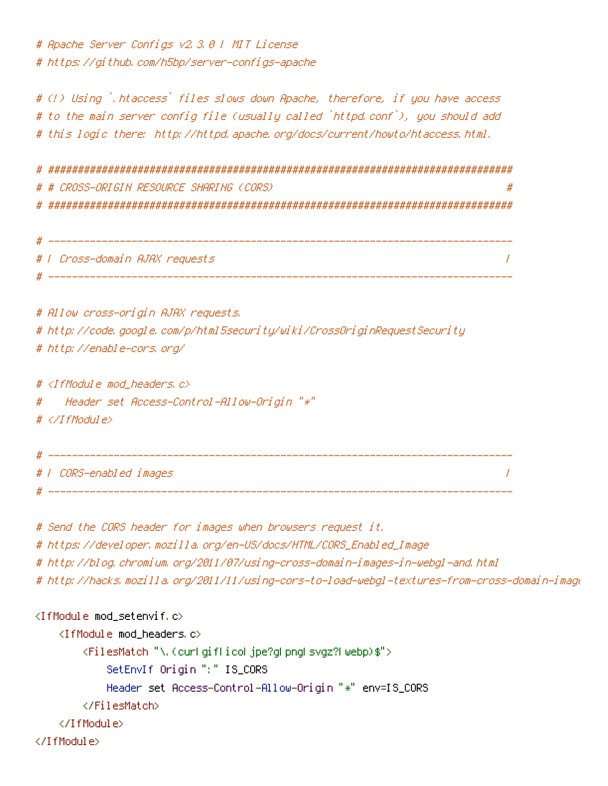# Apache Server Configs v2.3.0 | MIT License # https://github.com/h5bp/server-configs-apache

# (!) Using `.htaccess` files slows down Apache, therefore, if you have access # to the main server config file (usually called `httpd.conf`), you should add # this logic there: http://httpd.apache.org/docs/current/houto/htaccess.html.

# # CROSS-ORIGIN RESOURCE SHARING (CORS)  $\boldsymbol{H}$ 

| # |                                |  |
|---|--------------------------------|--|
|   | #   Cross-domain AJAX requests |  |
|   |                                |  |

# Allow cross-origin AJAX requests. # http://code.google.com/p/html5security/wiki/CrossOriginRequestSecurity # http://enable-cors.org/

#  $\langle$ IfModule mod headers,  $c$ >

Header set Access-Control-Allow-Origin "\*"  $\boldsymbol{\#}$ 

```
# </TfModule>
```
\_\_\_\_\_\_\_\_\_\_\_ # | CORS-enabled images  $\overline{I}$ 

# Send the CORS header for images when browsers request it.

# https://developer.mozilla.org/en-US/docs/HTML/CORS\_Enabled\_Image

# http://blog.chromium.org/2011/07/using-cross-domain-images-in-webgl-and.html

# http://hacks.mozilla.org/2011/11/using-cors-to-load-webgl-textures-from-cross-domain-imagu

## <IfModule mod\_setenvif.c>

```
<IfModule mod_headers.c>
        <FilesMatch "\.(curl giflicol jpe?gl pngl svgz?l webp)$">
            SetEnvIf Origin ":" IS_CORS
            Header set Access-Control-Allow-Origin "*" env=IS_CORS
        </FilesMatch>
    </TifModule>
</TifModule>
```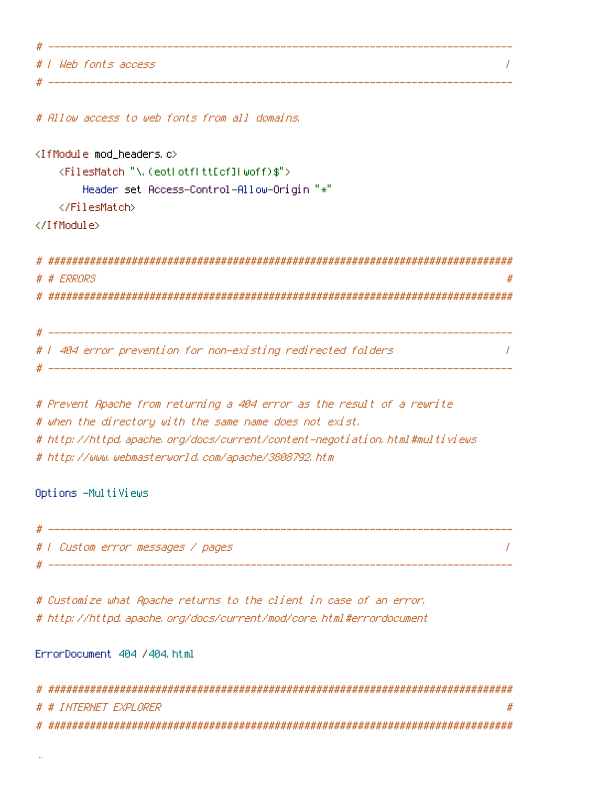# # | Web fonts access  $\prime$ 

# Allow access to web fonts from all domains.

```
<IfModule mod headers.c>
    <FilesMatch "\.(eotLotfLttEcflLwoff)$">
        Header set Access-Control-Allow-Origin "*"
    </FilesMatch>
```
</IfModule>

| # # ERRORS                                                                     |
|--------------------------------------------------------------------------------|
|                                                                                |
|                                                                                |
| المستحدث والمستحدث والمستحدث والمستحدث والمستحدث والمستحدث والمستحدث والمستحدث |
| # 1 404 error prevention for non-existing redirected folders                   |

# Prevent Apache from returning a 404 error as the result of a rewrite # when the directory with the same name does not exist. # http://httpd.apache.org/docs/current/content-negotiation.html#multiviews # http://www.webmasterworld.com/apache/3808792.htm

Options -MultiViews

| #   Custom error messages / pages |
|-----------------------------------|
|                                   |

# Customize what Apache returns to the client in case of an error. # http://httpd.apache.org/docs/current/mod/core.html#errordocument

ErrorDocument 404 /404.html

| # # INTERNET EXPLORER |  |
|-----------------------|--|
|                       |  |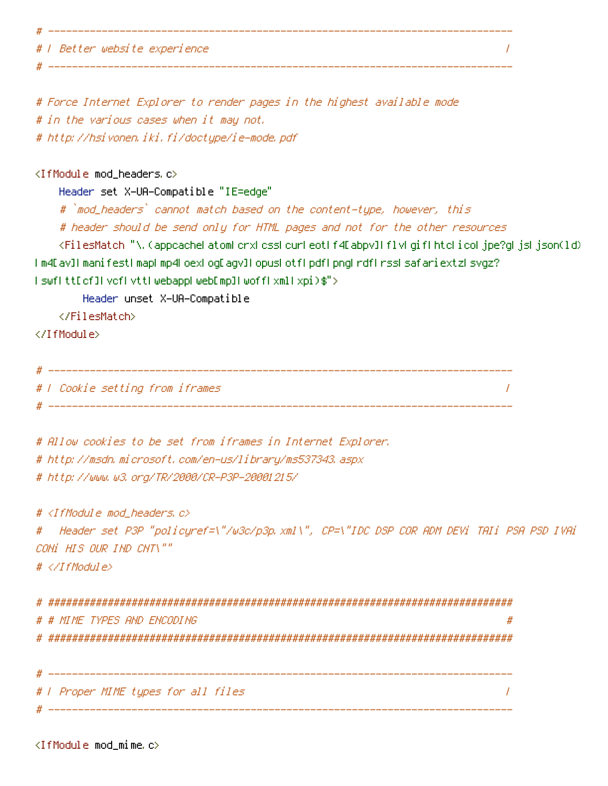| #   Better website experience |
|-------------------------------|
|                               |

# Force Internet Explorer to render pages in the highest available mode # in the various cases when it may not. # http://hsivonen.iki.fi/doctype/ie-mode.pdf

### <IfModule mod\_headers.c>

Header set X-UA-Compatible "IE=edge"

# `mod\_headers` cannot match based on the content-type, however, this

# header should be send only for HTML pages and not for the other resources

<FilesMatch "\.(appcacheLatomLcrxLcssLcurLeotLf4EabpvILflvLgifLhtcLicoLjpe?gLjsLjson(1d) I m4D av]I manifestI mapI mp4LoexLogDagv]I opusLotfLpdfLpngLrdfLrssLsafariextzLsvgz? IswflttEcfILvcfLvttLwebappLwebEmpILwoffLxmlLxpi)\$">

Header unset X-UA-Compatible

</FilesMatch>

</IfModule>

# Allow cookies to be set from iframes in Internet Explorer. # http://msdn.microsoft.com/en-us/library/ms537343.aspx # http://www.w3.org/TR/2000/CR-P3P-20001215/

# <IfModule mod\_headers.c>

# Aeader set P3P "policyref=\"/w3c/p3p.xml\", CP=\"IDC DSP COR ADM DEVi TAIi PSA PSD IVAi COMi HIS OUR IND CHT\""

# </IfModule>

| # # MIMF TYPES AND FNCODING         |
|-------------------------------------|
|                                     |
|                                     |
|                                     |
| #   Proper MIME types for all files |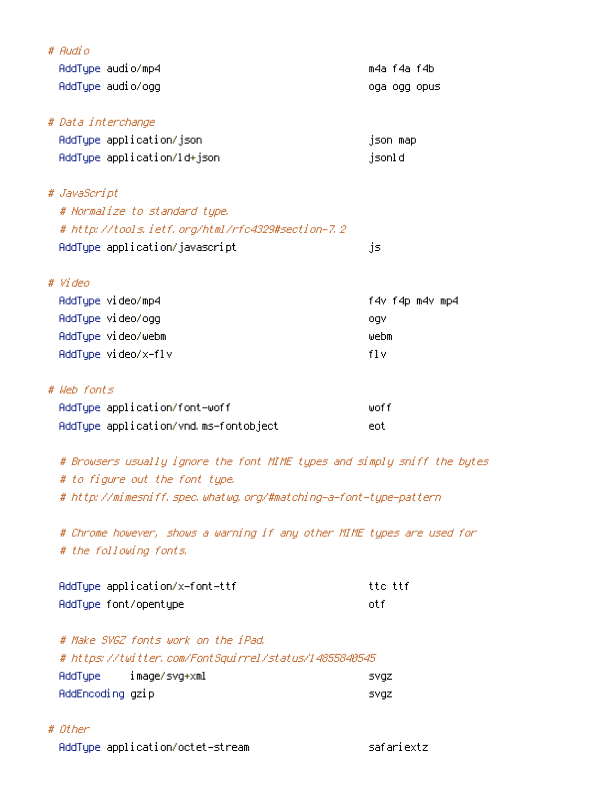| # Audio                                                                  |                 |
|--------------------------------------------------------------------------|-----------------|
| AddType audio/mp4                                                        | m4a f4a f4b     |
| AddType audio/ogg                                                        | oga ogg opus    |
|                                                                          |                 |
| # Data interchange                                                       |                 |
| AddType application/json                                                 | json map        |
| AddType application/ld+json                                              | jsonld          |
|                                                                          |                 |
| # JavaScript                                                             |                 |
| # Normalize to standard type.                                            |                 |
| # http://tools.ietf.org/html/rfc4329#section-7.2                         |                 |
| AddType application/javascript                                           | js              |
|                                                                          |                 |
| # Video                                                                  |                 |
| AddType video/mp4                                                        | f4v f4p m4v mp4 |
| AddType video/ogg                                                        | ogv             |
| AddType video/webm                                                       | webm            |
| AddType video/x-flv                                                      | f1v             |
|                                                                          |                 |
| # Web fonts                                                              |                 |
| AddType application/font-woff                                            | woff            |
| AddType application/vnd.ms-fontobject                                    | eot             |
|                                                                          |                 |
| # Browsers usually ignore the font MIME types and simply sniff the bytes |                 |

# to figure out the font type.

# http://mimesniff.spec.whatwg.org/#matching-a-font-type-pattern

# Chrome however, shows a warning if any other MIME types are used for # the following fonts.

| AddType application/x-font-ttf | tte ttf |
|--------------------------------|---------|
| AddType font/opentype          | nt fi   |

|                  | # Make SVGZ fonts work on the iPad.                   |       |
|------------------|-------------------------------------------------------|-------|
|                  | # https://twitter.com/FontSquirrel/status/14855840545 |       |
|                  | AddType image/svg+xml                                 | svaz, |
| AddEncoding gzip |                                                       | svaz, |

# # Other

AddType application/octet-stream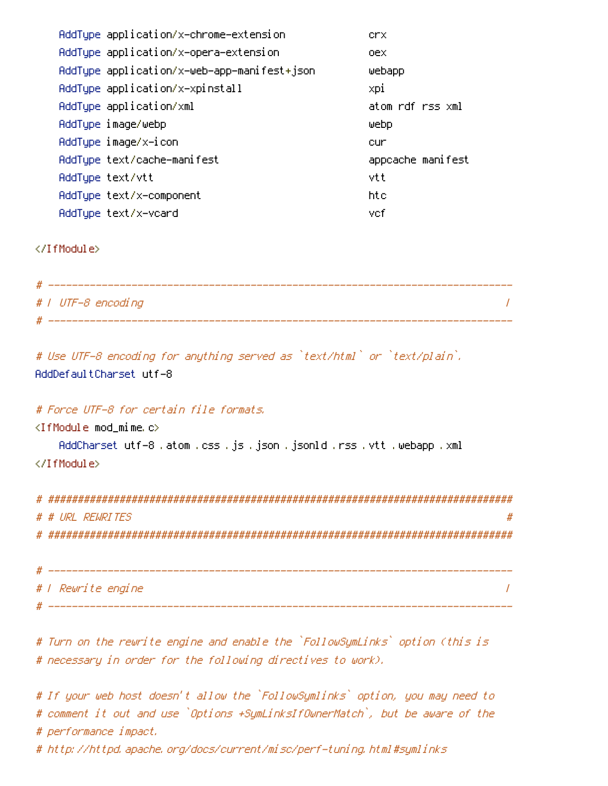| AddType application/x-chrome-extension      | crx.              |
|---------------------------------------------|-------------------|
| AddType application/x-opera-extension       | oex.              |
| AddType application/x-web-app-manifest+json | webapp            |
| AddType application/x-xpinstall             | xpi               |
| AddType application/xml                     | atom rdf rss xml  |
| AddType image/webp                          | webp              |
| AddType image/x-icon                        | cur               |
| AddType text/cache-manifest                 | appcache manifest |
| AddTupe text/vtt                            | vtt               |
| AddType text/x-component                    | htc               |
| AddTupe text/x-vcard                        | vcf               |

</IfModule>

| #   UTF-8 encoding |  |
|--------------------|--|
|                    |  |

# Use UTF-8 encoding for anything served as `text/html` or `text/plain`. AddDefaultCharset utf-8

## # Force UTF-8 for certain file formats,

 $\langle$ IfModule mod\_mime.c $\rangle$ 

AddCharset utf-8 .atom .css .js .json .jsonld .rss .vtt .webapp .xml </IfModule>

| # |                    |
|---|--------------------|
|   | # # URL REWRITES   |
|   |                    |
|   |                    |
|   |                    |
|   | # / Rewrite engine |
|   |                    |

# Turn on the rewrite engine and enable the `FollowSymLinks` option (this is # necessary in order for the following directives to work).

# If your web host doesn't allow the `FollowSymlinks` option, you may need to # comment it out and use `Options +SymLinksIfOwnerMatch`, but be aware of the # performance impact.

# http://httpd.apache.org/docs/current/misc/perf-tuning.html#symlinks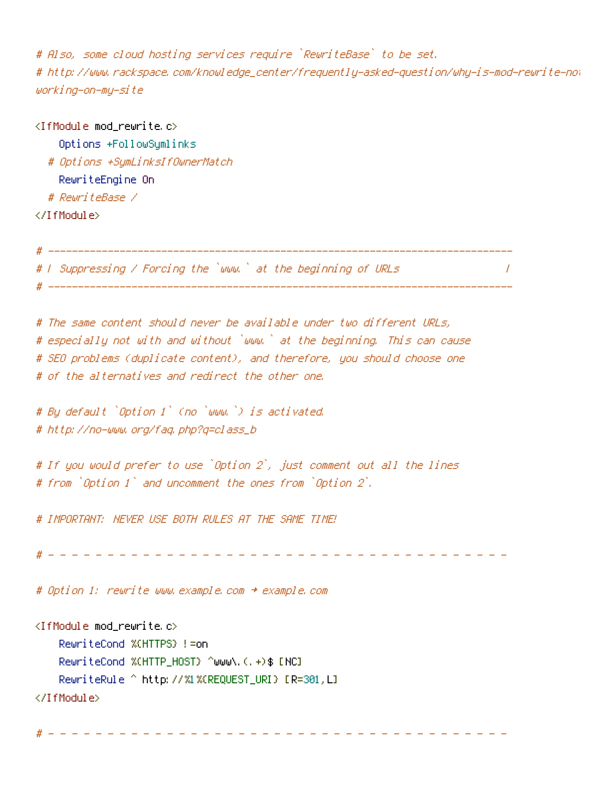# Also, some cloud hosting services require `RewriteBase` to be set. # http://www.rackspace.com/knowledge\_center/frequently-asked-question/why-is-mod-rewrite-no: working-on-my-site

 $\prime$ 

<IfModule mod\_rewrite.c> Options +FollowSymlinks # Options +SymLinksIfOwnerMatch RewriteEngine On # RewriteBase / </IfModule> # --------------------------------

# I Suppressing / Forcing the `www.` at the beginning of URLs # -------------------

# The same content should never be available under two different URLs, # especially not with and without `www.` at the beginning. This can cause # SEO problems (duplicate content), and therefore, you should choose one # of the alternatives and redirect the other one.

# By default `Option 1` (no `www.`) is activated. # http://no-www.org/faq.php?q=class\_b

# If you would prefer to use `Option 2`, just comment out all the lines # from `Option 1` and uncomment the ones from `Option 2`.

# IMPORTANT: NEVER USE BOTH RULES AT THE SAME TIME!

# Option 1: rewrite www.example.com + example.com

<IfModule mod\_rewrite.c> RewriteCond %(HTTPS) != on RewriteCond %(HTTP\_HOST) ^www\.(,+)\$ [NC] RewriteRule ^ http://%1%(REQUEST\_URI) [R=301,L] </IfModule>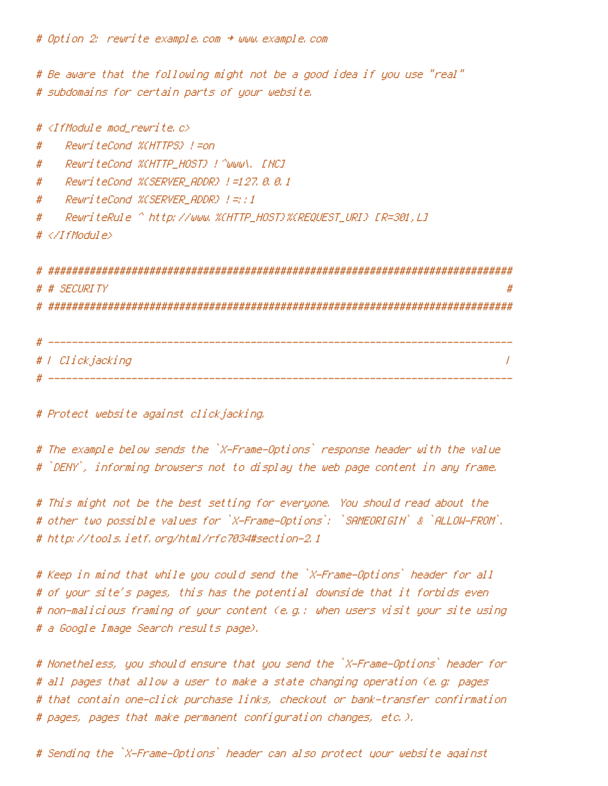# Option 2: rewrite example.com + www.example.com

# Be aware that the following might not be a good idea if you use "real" # subdomains for certain parts of your website.

# <IfModule mod rewrite.c> RewriteCond %CHTTPS} !=on # RewriteCond %CHTTP\_HOST} ! ^www\, [NC] # ReuriteCond %CSERVER ADDR} !=127.8.8.1 # RewriteCond %CSERVER ADDR} |=::1 # #  $# \triangle$ /IfModule> # # SECURITY 

#### # | Clickjacking  $\sqrt{ }$

# Protect website against clickjacking.

# The example below sends the `X-Frame-Options` response header with the value # `DENY`, informing browsers not to display the web page content in any frame.

# This might not be the best setting for everyone. You should read about the # other two possible values for `X-Frame-Options`: `SAMEORIGIN` & `ALLOW-FROM`, # http://tools.ietf.org/html/rfc7034#section-2.1

# Keep in mind that while you could send the `X-Frame-Options` header for all # of your site's pages, this has the potential downside that it forbids even # non-malicious framing of your content (e.g.: when users visit your site using # a Google Image Search results page).

# Nonetheless, you should ensure that you send the `X-Frame-Options` header for # all pages that allow a user to make a state changing operation (e.g. pages # that contain one-click purchase links, checkout or bank-transfer confirmation # pages, pages that make permanent configuration changes, etc.).

# Sending the `X-Frame-Options` header can also protect your website against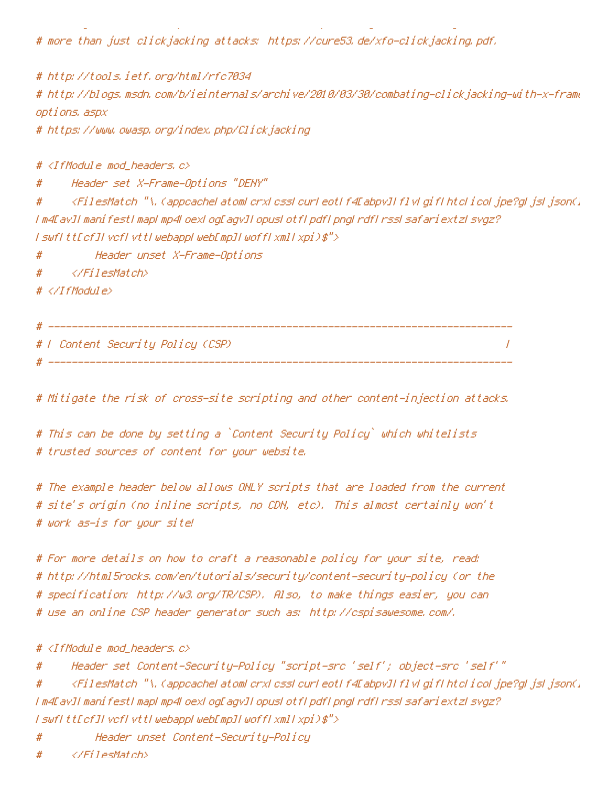# more than just clickjacking attacks: https://cure53.de/xfo-clickjacking.pdf.

# http://tools.ietf.org/html/rfc7034 # http://blogs.msdn.com/b/ieinternals/archive/2010/03/30/combating-clickjacking-with-x-frame options, aspx

# https://www.owasp.org/index.php/Clickjacking

#  $\langle$ IfModule mod headers,  $c$ >

Header set X-Frame-Options "DENY" #

<FilesMatch "\, (appeacheLatomLerxLessLeurLeotLf4Eabpv]LflvLgifLhtcLicoLjpe?gLjsLjsonG # I m4Dav1I manifestI mapI mp4LoexLogDagv1LopusLotfLpdfLpngLrdfLrssLsafariextzLsvgz? I swfItt[cf]IvcfIvttIwebappIweb[mp]IwoffIxmlIxpi)\$">

Header unset X-Frame-Options #

 $\langle$ /FilesMatch> #

 $# \langle \angle I$ f Modul e $\rangle$ 

# F Content Security Policy (CSP)

 $\overline{I}$ 

# Mitigate the risk of cross-site scripting and other content-injection attacks.

# This can be done by setting a `Content Security Policy` which whitelists # trusted sources of content for your website.

# The example header below allows ONLY scripts that are loaded from the current # site's origin (no inline scripts, no CDN, etc). This almost certainly won't # work as-is for your site!

# For more details on how to craft a reasonable policy for your site, read: # http://html5rocks.com/en/tutorials/security/content-security-policy (or the # specification: http://w3.org/TR/CSP). Also, to make things easier, you can # use an online CSP header generator such as: http://cspisawesome.com/.

# <IfModule mod\_headers.c>

Header set Content-Security-Policy "script-src 'self'; object-src 'self'" #

<FilesMatch "\, (appeacheLatomLerxLessLeurLeotLf4EabpvILfIvLgifLhtcLicoLjpe?gLjsLjson()  $#$ I m4EavJI manifestI mapI mp4LoexLogEagvJI opusLotfLpdfLpngLrdfLrssLsafariextzLsvgz? I swfItt[cf]IvcfIvttIwebappIweb[mp]IwoffIxmlIxpi)\$">

Header unset Content-Security-Policy #

</FilesMatch> #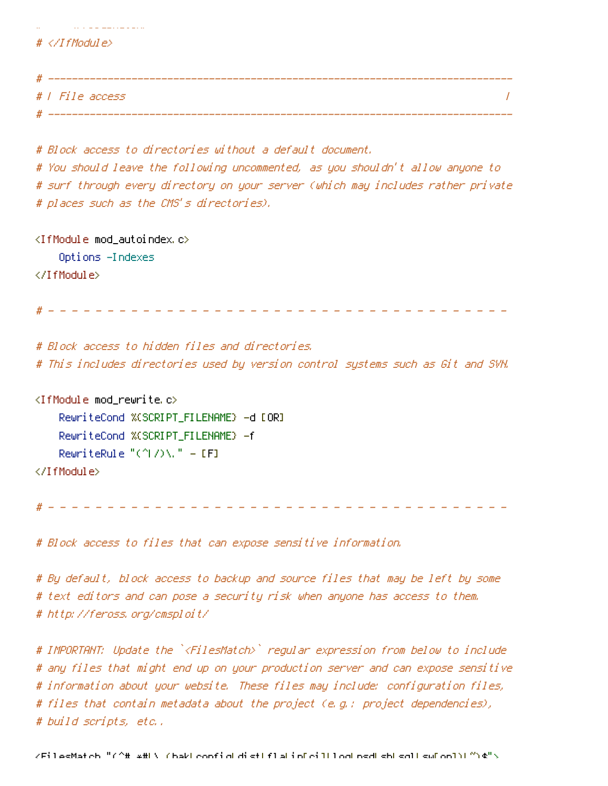# ---------# | File access  $\prime$ # \_\_\_\_\_\_\_\_\_\_\_\_\_\_\_

# Block access to directories without a default document.

# You should leave the following uncommented, as you shouldn't allow anyone to # surf through every directory on your server (which may includes rather private # places such as the CMS's directories).

<IfModule mod\_autoindex.c> Options -Indexes </IfModule>

the contract of the company of the contract of

# </IfModule>

# Block access to hidden files and directories. # This includes directories used by version control systems such as Git and SWN.

<IfModule mod\_rewrite.c> RewriteCond %(SCRIPT\_FILENAME) -d [OR] RewriteCond %(SCRIPT\_FILENAME) -f RewriteRule "(^ $1$ /)\." = [F] </IfModule>

# Block access to files that can expose sensitive information.

# By default, block access to backup and source files that may be left by some # text editors and can pose a security risk when anyone has access to them. # http://feross.org/cmsploit/

# IMPORTANT: Update the `<FilesMatch>` regular expression from below to include # any files that might end up on your production server and can expose sensitive # information about your website. These files may include: configuration files, # files that contain metadata about the project (e.g.: project dependencies), # build scripts, etc..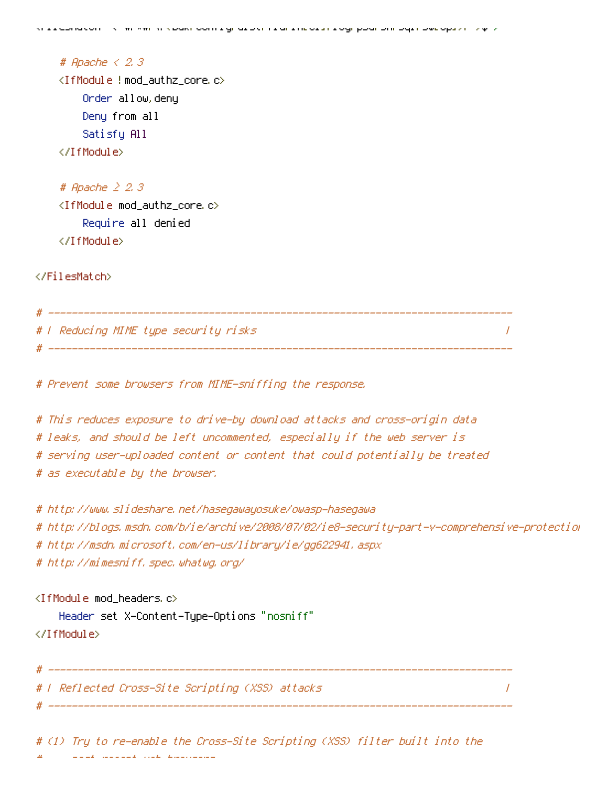# Apache  $\leq$  2.3 <IfModule !mod\_authz\_core.c> Order allow, deny Deny from all Satisfy All </TifModule>

# Apache  $\geq$  2.3 <IfModule mod\_authz\_core.c> Require all denied </IfModule>

</FilesMatch>

```
# | Reducing MIME type security risks
# -------------------------
```
# Prevent some browsers from MIME-sniffing the response.

# This reduces exposure to drive-by download attacks and cross-origin data # leaks, and should be left uncommented, especially if the web server is # serving user-uploaded content or content that could potentially be treated # as executable by the browser.

```
# http://www.slideshare.net/hasegawayosuke/owasp-hasegawa
# http://blogs.msdn.com/b/ie/archive/2008/07/02/ie8-security-part-v-comprehensive-protection
# http://msdn.microsoft.com/en-us/library/ie/gg622941.aspx
# http://mimesniff.spec.whatwg.org/
```
 $\overline{I}$ 

```
<IfModule mod_headers.c>
```
# \_\_\_\_\_\_\_\_\_\_\_\_\_\_

Header set X-Content-Type-Options "nosniff" </IfModule>

# | Reflected Cross-Site Scripting (XSS) attacks

# (1) Try to re-enable the Cross-Site Scripting (XSS) filter built into the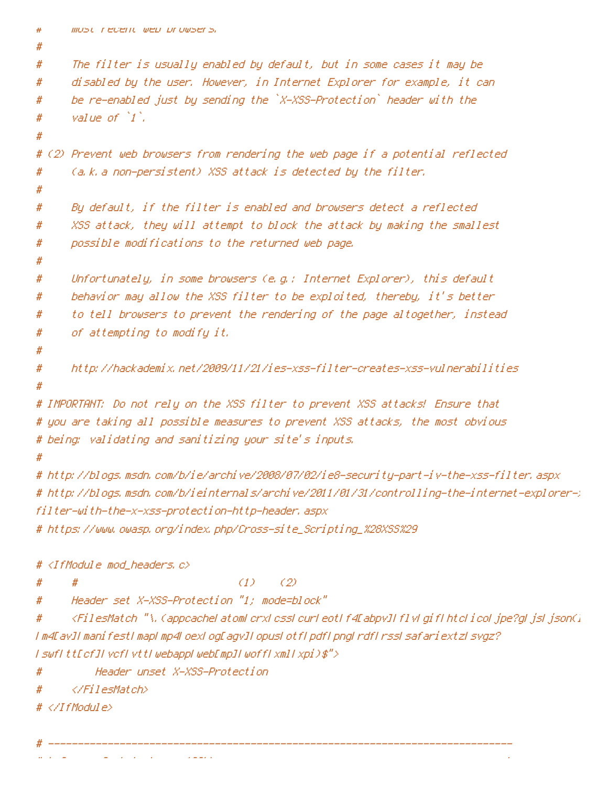```
most recent web prowsers,
#
#
#The filter is usually enabled by default, but in some cases it may be
#disabled by the user. However, in Internet Explorer for example, it can
      be re-enabled just by sending the `X-XSS-Protection` header with the
#
      value of 1.
#
#
# (2) Prevent web browsers from rendering the web page if a potential reflected
      (a.k. a non-persistent) XSS attack is detected by the filter.
#
#
      By default, if the filter is enabled and browsers detect a reflected
#
      XSS attack, they will attempt to block the attack by making the smallest
#
      possible modifications to the returned web page.
#
#Unfortunately, in some browsers (e.g.: Internet Explorer), this default
#
      behavior may allow the XSS filter to be exploited, thereby, it's better
#
      to tell browsers to prevent the rendering of the page altogether, instead
#
      of attempting to modify it.
#
#
      http://hackademix.net/2009/11/21/ies-xss-filter-creates-xss-yulnerabilities
#
#
# IMPORTANT: Do not rely on the XSS filter to prevent XSS attacks! Ensure that
# you are taking all possible measures to prevent XSS attacks, the most obvious
# being: validating and sanitizing your site's inputs.
## http://blogs.msdn.com/b/ie/archive/2008/07/02/ie8-security-part-iv-the-xss-filter.aspx
# http://blogs.msdn.com/b/ieinternals/archive/2011/01/31/controlling-the-internet-explorer-;
filter-with-the-x-xss-protection-http-header, aspx
# https://www.owasp.org/index.php/Cross-site_Scripting_%28XSS%29
# <IfModule mod headers, c>
                                  (1)(2)#
      Header set X-XSS-Protection "1; mode=block"
#
      <FilesMatch "\, (appeacheLatomLerxLessLeurLeotLf4EabpvILflvLgifLhtcLicoLjpe?gLjsLjson()
#
I m4EavII manifestI mapl mp4LoexLogEagvII opusLotfLpdfLpngLrdfLrssLsafariextzLsvgz?
I swfItt[cf]IvcfIvttIwebappIweb[mp]IwoffIxmlIxpi)$">
          Header unset X-XSS-Protection
#\langle/FilesMatch>
#
```
- $# \triangle$ /IfModule>
-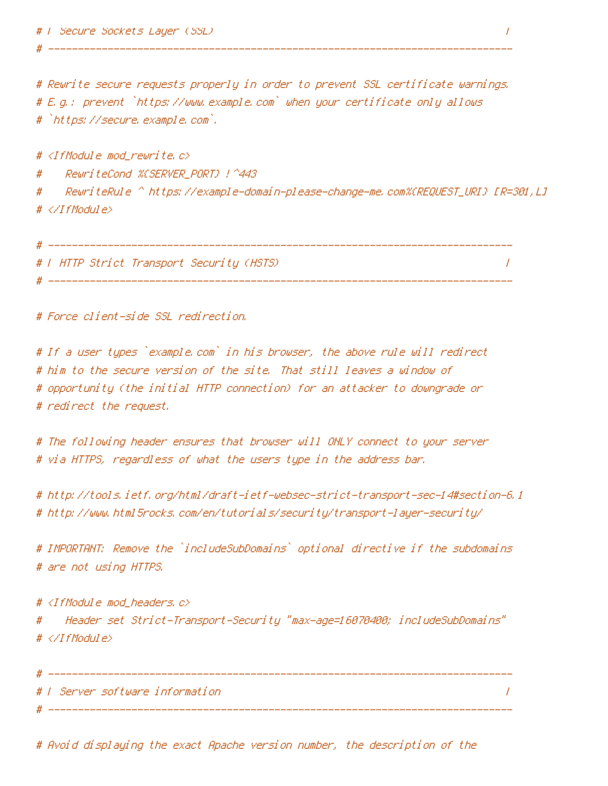# Rewrite secure requests properly in order to prevent SSL certificate warnings. # E.g.: prevent `https://www.example.com` when your certificate only allows # `https://secure.example.com`.

# <IfModule mod\_rewrite.c>

ReuriteCond %CSERVER\_PORT} !^443 #

ReuriteRule ^ https://example-domain-please-change-me.com%CREQUEST\_URI} [R=301,L] # # </IfModule>

# T HTTP Strict Transport Security (HSTS) ==  $\prime$ 

# Force client-side SSL redirection.

# If a user types `example.com` in his browser, the above rule will redirect # him to the secure version of the site. That still leaves a window of # opportunity (the initial HTTP connection) for an attacker to downgrade or # redirect the request.

# The following header ensures that browser will ONLY connect to your server # via HTTPS, regardless of what the users type in the address bar.

# http://tools.ietf.org/html/draft-ietf-websec-strict-transport-sec-14#section-6.1 # http://www.html5rocks.com/en/tutorials/security/transport-layer-security/

# IMPORTANT: Remove the `includeSubDomains` optional directive if the subdomains # are not using HTTPS.

# <IfModule mod\_headers.c> "Header set Strict-Transport-Security "max-age=16070400; includeSubDomains # # </IfModule>

# | Server software information  $\prime$ 

# Avoid displaying the exact Apache version number, the description of the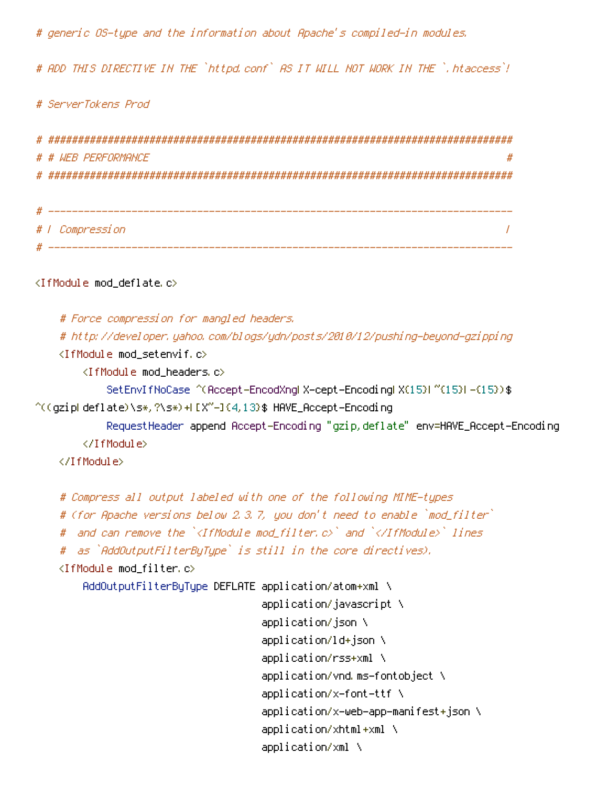# generic OS-type and the information about Apache's compiled-in modules.

# ADD THIS DIRECTIVE IN THE `httpd.conf` AS IT WILL NOT WORK IN THE `.htaccess`!

# ServerTokens Prod

| # # WEB PERFORMANCE |  |
|---------------------|--|
|                     |  |
|                     |  |
|                     |  |
| # / Compression     |  |
|                     |  |

<IfModule mod deflate.c>

# Force compression for mangled headers. # http://developer.yahoo.com/blogs/ydn/posts/2010/12/pushing-beyond-gzipping <IfModule mod setenvif.c> <IfModule mod headers.c> SetEnvIfNoCase ^(Accept-EncodXngl X-cept-Encodingl X(15)1 ^'(15)1-(15)) \$  $\hat{C}$  (gzipLdeflate) \s\*, ?\s\*) +L[X"-]{4,13}\$ HAVE\_Accept-Encoding RequestHeader append Accept-Encoding "gzip, deflate" env=HAVE\_Accept-Encoding </TfModule> </TfModule> # Compress all output labeled with one of the following MIME-types

```
# (for Apache versions below 2.3.7, you don't need to enable `mod_filter`
# and can remove the `<IfModule mod_filter.c>` and `</IfModule>` lines
# as `AddOutputFilterBuTupe` is still in the core directives).
<IfModule mod_filter.c>
    AddOutputFilterByType DEFLATE application/atom+xml \
```
application/javascript \ application/json \ application/ld+json \ application/rss+xml \ application/vnd.ms-fontobject \ application/x-font-ttf \ application/x-web-app-manifest+json \ application/xhtml+xml \ application/xml \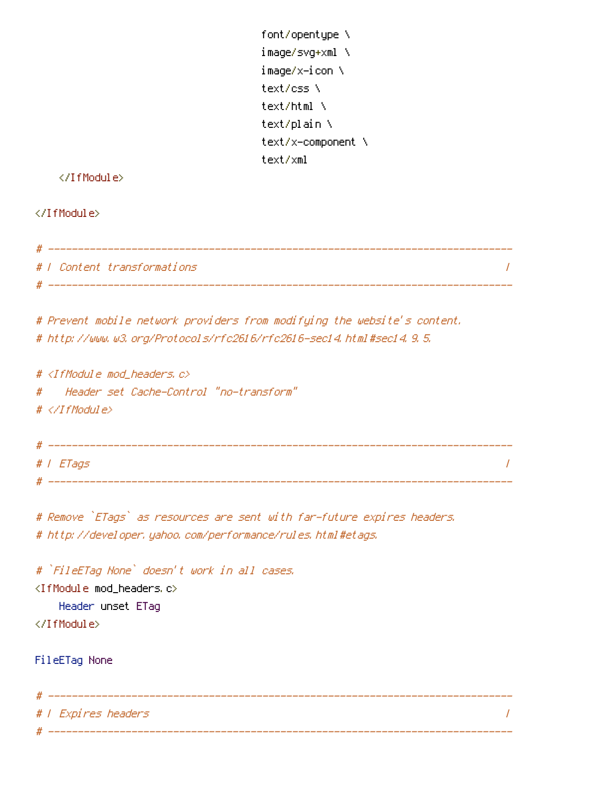## </IfModule>

### </IfModule>

| # |                             |  |
|---|-----------------------------|--|
|   | #   Content transformations |  |
| # |                             |  |

# Prevent mobile network providers from modifying the website's content. # http://www.w3.org/Protocols/rfc2616/rfc2616-sec14.html#sec14.9.5.

#  $\langle$ IfModule mod headers,  $c$ > Header set Cache-Control "no-transform"  $#$ #  $\langle$ /IfModule>

| Н | _____     |  |
|---|-----------|--|
|   | #   ETags |  |
|   |           |  |

# Remove `ETags` as resources are sent with far-future expires headers. # http://developer.yahoo.com/performance/rules.html#etags.

# `FileETag None` doesn't work in all cases. <IfModule mod\_headers.c> Header unset ETaq </IfModule>

FileETag None

# | Expires headers  $\overline{I}$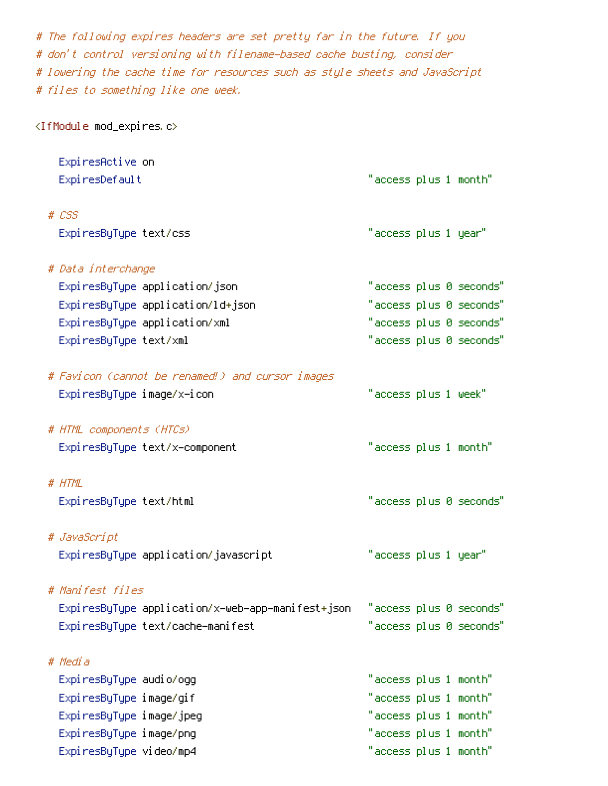# The following expires headers are set pretty far in the future. If you # don't control versioning with filename-based cache busting, consider # lowering the cache time for resources such as style sheets and JavaScript # files to something like one week.

<IfModule mod\_expires.c>

| ExpiresActive on                                  |                       |  |                         |
|---------------------------------------------------|-----------------------|--|-------------------------|
| ExpiresDefault                                    | "access plus 1 month" |  |                         |
| $# \text{ } CSS$                                  |                       |  |                         |
| ExpiresByType text/css                            | "access plus 1 year"  |  |                         |
| # Data interchange                                |                       |  |                         |
| ExpiresByType application/json                    |                       |  | "access plus 0 seconds" |
| ExpiresByType application/ld+json                 |                       |  | "access plus 0 seconds" |
| ExpiresByType application/xml                     |                       |  | "access plus 0 seconds" |
| ExpiresByType text/xml                            |                       |  | "access plus 0 seconds" |
| # Favicon (cannot be renamed!) and cursor images  |                       |  |                         |
| ExpiresByType image/x-icon                        | "access plus 1 week"  |  |                         |
| # HTML components (HTCs)                          |                       |  |                         |
| ExpiresByType text/x-component                    | "access plus 1 month" |  |                         |
| # HTML                                            |                       |  |                         |
| ExpiresByType text/html                           |                       |  | "access plus 0 seconds" |
| # JavaScript                                      |                       |  |                         |
| ExpiresByType application/javascript              | "access plus 1 year"  |  |                         |
| # Manifest files                                  |                       |  |                         |
| ExpiresByType application/x-web-app-manifest+json |                       |  | "access plus 0 seconds" |
| ExpiresByType text/cache-manifest                 |                       |  | "access plus 0 seconds" |
| # Media                                           |                       |  |                         |
| Expi resByType audio/ogg                          | "access plus 1 month" |  |                         |
| ExpiresByType image/gif                           | "access plus 1 month" |  |                         |
| ExpiresByType image/jpeg                          | "access plus 1 month" |  |                         |
| ExpiresByType image/png                           | "access plus 1 month" |  |                         |
| ExpiresByType video/mp4                           | "access plus 1 month" |  |                         |
|                                                   |                       |  |                         |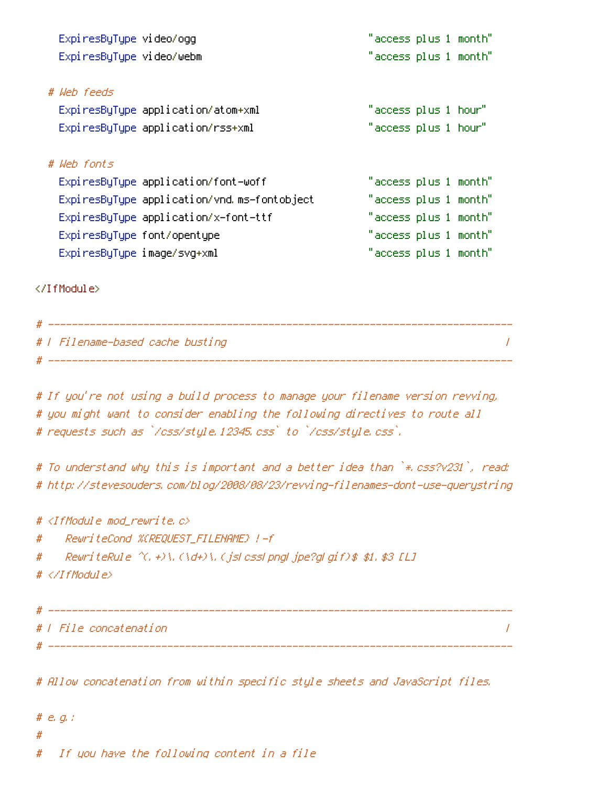| Expi resByType video/ogg    |                                             | "access plus 1 month" |  |  |
|-----------------------------|---------------------------------------------|-----------------------|--|--|
| ExpiresByType video/webm    |                                             | "access plus 1 month" |  |  |
|                             |                                             |                       |  |  |
| # Weh feeds                 |                                             |                       |  |  |
|                             | ExpiresByType application/atom+xml          | "access plus 1 hour"  |  |  |
|                             | ExpiresByType application/rss+xml           | "access plus 1 hour"  |  |  |
|                             |                                             |                       |  |  |
| # Web fonts                 |                                             |                       |  |  |
|                             | ExpiresByType application/font-woff         | "access plus 1 month" |  |  |
|                             | ExpiresByType application/vnd.ms-fontobject | "access plus 1 month" |  |  |
|                             | ExpiresByType application/x-font-ttf        | "access plus 1 month" |  |  |
| ExpiresByType font/opentype |                                             | "access plus 1 month" |  |  |
| ExpiresByType image/svg+xml |                                             | "access plus 1 month" |  |  |

</IfModule>

| #   Filename-based cache busting |  |
|----------------------------------|--|
|                                  |  |

# If you're not using a build process to manage your filename version revving, # you might want to consider enabling the following directives to route all # requests such as `/css/style.12345.css` to `/css/style.css`.

# To understand why this is important and a better idea than `\* css?v231`, read: # http://stevesouders.com/blog/2008/08/23/revving-filenames-dont-use-querystring

# <IfModule mod rewrite.c> ReuriteCond %(REQUEST\_FILENAME) !- f # ReuriteRule  $\hat{C}$ , +)\,  $(\hat{d}+)$ \,  $(\hat{j}$ sl cssl pngl  $\hat{j}$ pe?gl gif)\$ \$1, \$3 [L] # #  $\langle$ /IfModule> 

# | File concatenation  $\overline{1}$ 

# Allow concatenation from within specific style sheets and JavaScript files.

#  $e$ ,  $q$ ,  $t$ # If you have the following content in a file  $#$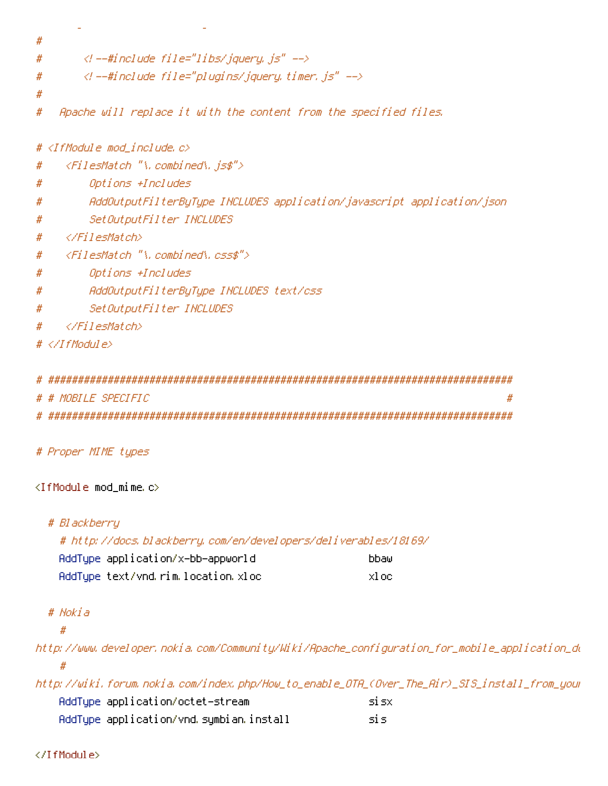$#$  $\langle$ l --#include file="libs/jquery, js" --> # <!--#include file="plugins/jquery.timer.js" --> #  $#$ Apache will replace it with the content from the specified files. # # <IfModule mod\_include.c> <FilesMatch "\, combined\, is\$"> # Options +Includes # AddOutputFilterByType INCLUDES application/javascript application/json # SetOutputFilter INCLUDES #  $\langle$ /FilesMatch> # <FilesMatch "\.combined\.css\$"> # Options +Includes # AddOutputFilterByType INCLUDES text/css # SetOutputFilter INCLUDES # </FilesMatch> #  $# \triangle$ /IfModule>

```
# # MOBILE SPECIFIC
         #
```
# Proper MIME types

### $\langle$ IfModule mod mime.c $\rangle$

# Blackberry

# http://docs.blackberry.com/en/developers/deliverables/18169/

| AddType application/x—bb—appworld  | bbaw  |
|------------------------------------|-------|
| AddType text/vnd.rim.location.xloc | xl oc |

# Nokia

#

http://www.developer.nokia.com/Community/Wiki/Apache\_configuration\_for\_mobile\_application\_du

http://wiki.forum.nokia.com/index.php/How\_to\_enable\_OTA\_(Over\_The\_Air)\_SIS\_install\_from\_you AddType application/octet-stream si sxl

| AddType application/vnd symbian install |  |  |
|-----------------------------------------|--|--|
|-----------------------------------------|--|--|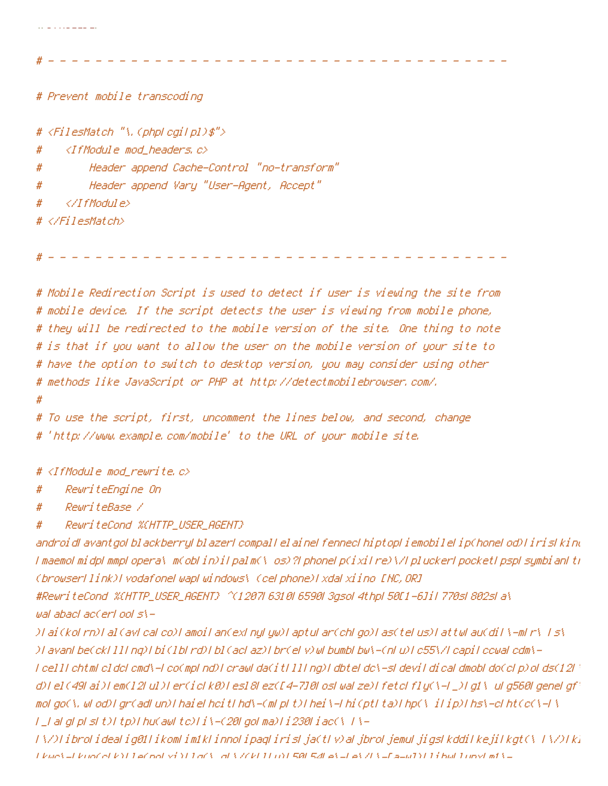<IfModule mod\_headers.c> #

Header append Cache-Control "no-transform" #

Header append Vary "User-Agent, Accept" #

 $\langle$ /IfModule> #

and the contract components of the

# </FilesMatch>

# Mobile Redirection Script is used to detect if user is viewing the site from # mobile device. If the script detects the user is viewing from mobile phone, # they will be redirected to the mobile version of the site. One thing to note # is that if you want to allow the user on the mobile version of your site to # have the option to switch to desktop version, you may consider using other # methods like JavaScript or PHP at http://detectmobilebrowser.com/.

#

# To use the script, first, uncomment the lines below, and second, change # 'http://www.example.com/mobile' to the URL of your mobile site.

# <IfModule mod\_rewrite.c>

RewriteEngine On #

RewriteBase / #

ReuriteCond %CHTTP\_USER\_AGENT} #

androidLavantgoLblackberryLblazerLcompalLelaineLfennecLhiptopLiemobileLip(honeLod)LirisLkinu I maemol midpl mmpl opera\ m(oblin)ilpalm(\ os)?LphoneLp(ixilre)\/LpluckerLpocketLpspLsymbianLtr (browserl Link)I vodafonel wapl windows\ (cel phone)I xdal xiino [NC, OR]

#ReuriteCond %CHTTP\_USER\_AGENT} ^(1207| 6310| 6590| 3gsol 4thp| 50[1-6]il 770s| 802s| a\ wal abacl ac(erl ool s\-

)I ai (kol rn)I al (avl cal co)I amoil an(exl nyl yw)I aptul ar(chl go)I as(tel us)I attwl au(dil \-ml r\ I s\ ) Lavant be(ckt 111 ng) Lbi (1bt rd) Lb1 (act az) Ebr(et v) ut bumbl bu/s-(nt u) Lc55\/t capi Lccuat cdm\l celli chtml cldci cmd\-i co(mpl nd)i crawi da(iti lli ng)i dbtei dc\-si devil di caldmobi do(ci p) oi ds(12i d)[el(49[ai)[em(12[ul)]er(ic[k0)[es]8[ez([4-7]0[os[wa[ze)]fetc[fly(\-[\_)[gl\ u[g560[gene[gf] mol.go(\, wl.od) l.gr(adl.un) l.hai el hoi tl.hd\-(ml.pl.t) l.hei \-l.hi (ptl.ta) l.hp(\\_iTip) l.hs\-ol.ht(o(\-F\ T\_FaFgFpFsFt)Ttp)Thu(awFtc)Ti\-(20FgoFma)Ti230Fiac(\T}-

TA/OFibroFideaFig01FikomFim1kFinnoFipaqFirisFja(tFv)aFjbroFjemuFjigsFkddiFkejiFkgt(AFFA/OFk) Likup's Likup' et k') LaCool vi Yi LaCs al S701 11 m L581 541 al L1 al 71 l- Ea Lu1 Yi Li bul Lunyi mf S L